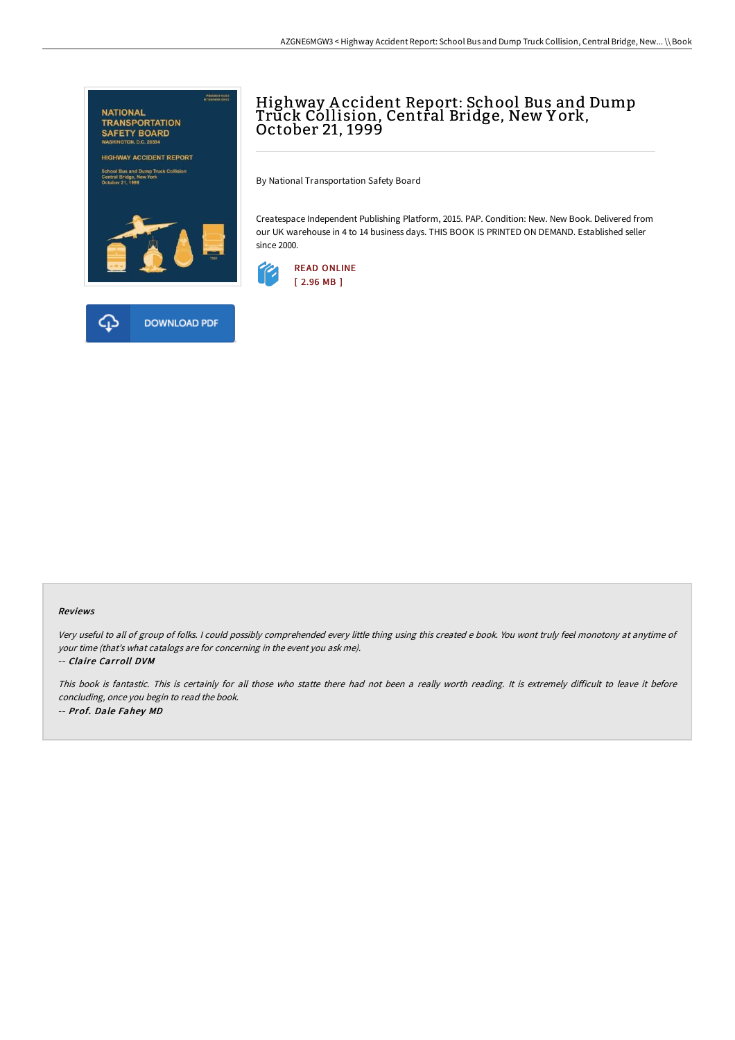

## Highway A ccident Report: School Bus and Dump Trŭck Cóllision, Central Bridge, New York,<br>October 21, 1999

By National Transportation Safety Board

Createspace Independent Publishing Platform, 2015. PAP. Condition: New. New Book. Delivered from our UK warehouse in 4 to 14 business days. THIS BOOK IS PRINTED ON DEMAND. Established seller since 2000.



## Reviews

Very useful to all of group of folks. <sup>I</sup> could possibly comprehended every little thing using this created <sup>e</sup> book. You wont truly feel monotony at anytime of your time (that's what catalogs are for concerning in the event you ask me).

-- Claire Carroll DVM

This book is fantastic. This is certainly for all those who statte there had not been a really worth reading. It is extremely difficult to leave it before concluding, once you begin to read the book. -- Prof. Dale Fahey MD